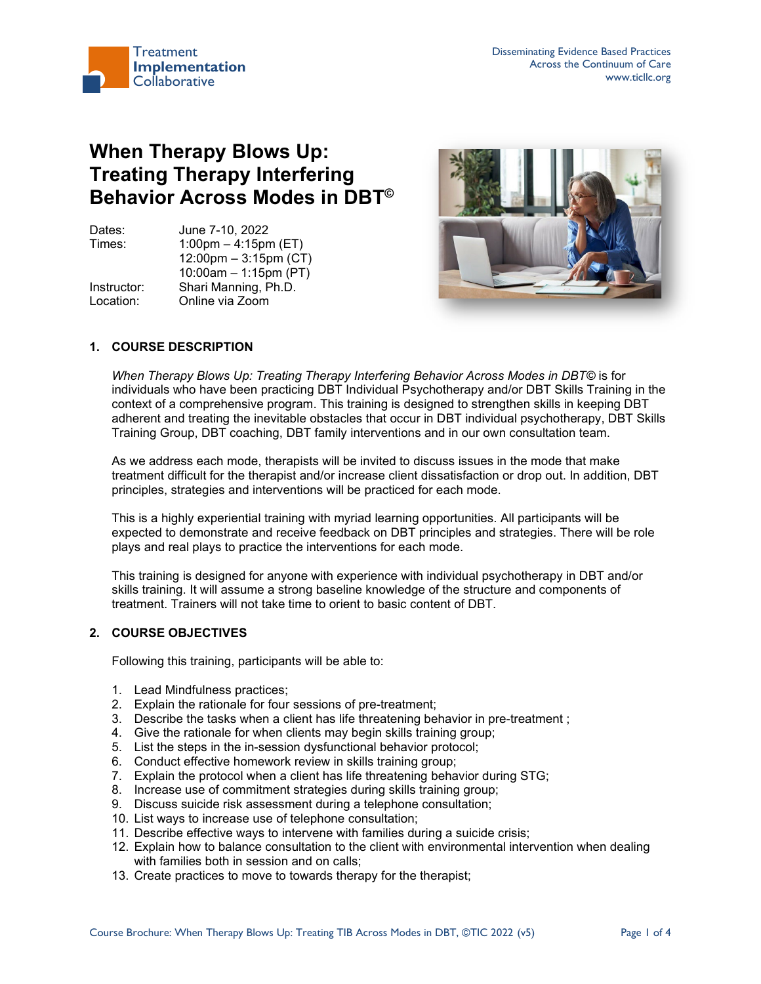

# **When Therapy Blows Up: Treating Therapy Interfering Behavior Across Modes in DBT©**

Dates: June 7-10, 2022 Times: 1:00pm – 4:15pm (ET) 12:00pm – 3:15pm (CT) 10:00am – 1:15pm (PT) Instructor: Shari Manning, Ph.D. Location: Online via Zoom



# **1. COURSE DESCRIPTION**

*When Therapy Blows Up: Treating Therapy Interfering Behavior Across Modes in DBT©* is for individuals who have been practicing DBT Individual Psychotherapy and/or DBT Skills Training in the context of a comprehensive program. This training is designed to strengthen skills in keeping DBT adherent and treating the inevitable obstacles that occur in DBT individual psychotherapy, DBT Skills Training Group, DBT coaching, DBT family interventions and in our own consultation team.

As we address each mode, therapists will be invited to discuss issues in the mode that make treatment difficult for the therapist and/or increase client dissatisfaction or drop out. In addition, DBT principles, strategies and interventions will be practiced for each mode.

This is a highly experiential training with myriad learning opportunities. All participants will be expected to demonstrate and receive feedback on DBT principles and strategies. There will be role plays and real plays to practice the interventions for each mode.

This training is designed for anyone with experience with individual psychotherapy in DBT and/or skills training. It will assume a strong baseline knowledge of the structure and components of treatment. Trainers will not take time to orient to basic content of DBT.

# **2. COURSE OBJECTIVES**

Following this training, participants will be able to:

- 1. Lead Mindfulness practices;
- 2. Explain the rationale for four sessions of pre-treatment;
- 3. Describe the tasks when a client has life threatening behavior in pre-treatment ;
- 4. Give the rationale for when clients may begin skills training group;
- 5. List the steps in the in-session dysfunctional behavior protocol;
- 6. Conduct effective homework review in skills training group;
- 7. Explain the protocol when a client has life threatening behavior during STG;
- 8. Increase use of commitment strategies during skills training group;
- 9. Discuss suicide risk assessment during a telephone consultation;
- 10. List ways to increase use of telephone consultation;
- 11. Describe effective ways to intervene with families during a suicide crisis;
- 12. Explain how to balance consultation to the client with environmental intervention when dealing with families both in session and on calls;
- 13. Create practices to move to towards therapy for the therapist;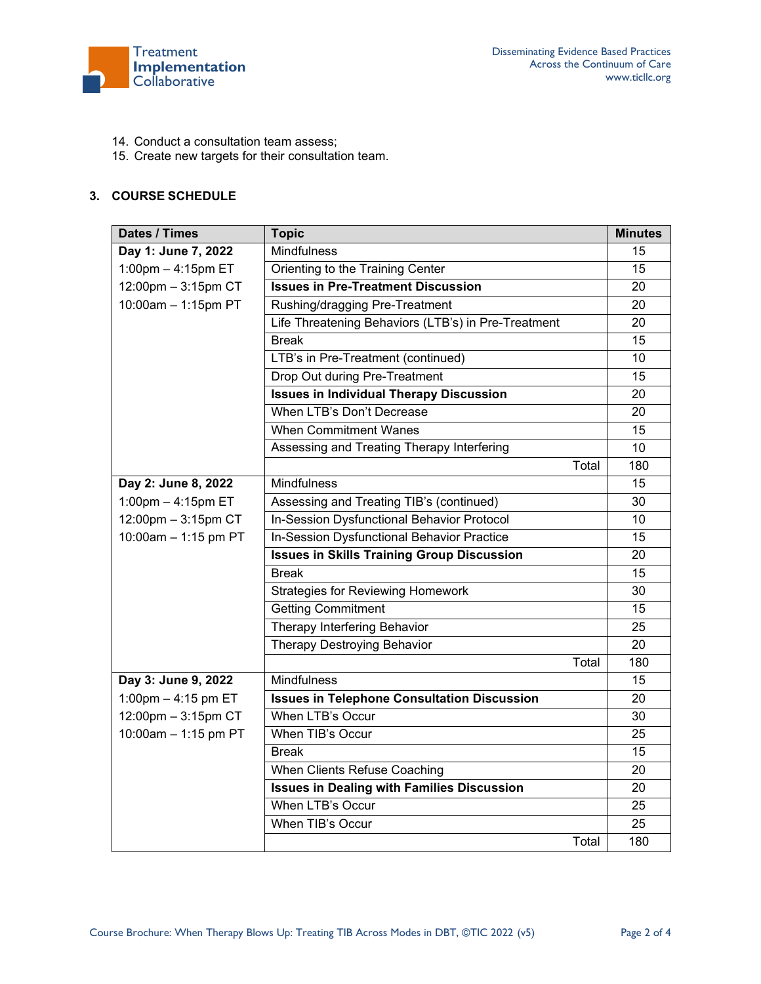

- 14. Conduct a consultation team assess;
- 15. Create new targets for their consultation team.

# **3. COURSE SCHEDULE**

| Dates / Times        | <b>Topic</b>                                        | <b>Minutes</b> |
|----------------------|-----------------------------------------------------|----------------|
| Day 1: June 7, 2022  | Mindfulness                                         | 15             |
| 1:00pm $-$ 4:15pm ET | Orienting to the Training Center                    | 15             |
| 12:00pm - 3:15pm CT  | <b>Issues in Pre-Treatment Discussion</b>           | 20             |
| 10:00am - 1:15pm PT  | Rushing/dragging Pre-Treatment                      | 20             |
|                      | Life Threatening Behaviors (LTB's) in Pre-Treatment | 20             |
|                      | <b>Break</b>                                        | 15             |
|                      | LTB's in Pre-Treatment (continued)                  | 10             |
|                      | Drop Out during Pre-Treatment                       | 15             |
|                      | <b>Issues in Individual Therapy Discussion</b>      | 20             |
|                      | When LTB's Don't Decrease                           | 20             |
|                      | <b>When Commitment Wanes</b>                        | 15             |
|                      | Assessing and Treating Therapy Interfering          | 10             |
|                      | Total                                               | 180            |
| Day 2: June 8, 2022  | Mindfulness                                         | 15             |
| 1:00pm - 4:15pm ET   | Assessing and Treating TIB's (continued)            | 30             |
| 12:00pm - 3:15pm CT  | In-Session Dysfunctional Behavior Protocol          | 10             |
| 10:00am - 1:15 pm PT | In-Session Dysfunctional Behavior Practice          | 15             |
|                      | <b>Issues in Skills Training Group Discussion</b>   | 20             |
|                      | <b>Break</b>                                        | 15             |
|                      | <b>Strategies for Reviewing Homework</b>            | 30             |
|                      | <b>Getting Commitment</b>                           | 15             |
|                      | Therapy Interfering Behavior                        | 25             |
|                      | Therapy Destroying Behavior                         | 20             |
|                      | Total                                               | 180            |
| Day 3: June 9, 2022  | Mindfulness                                         | 15             |
| 1:00pm - 4:15 pm ET  | <b>Issues in Telephone Consultation Discussion</b>  | 20             |
| 12:00pm - 3:15pm CT  | When LTB's Occur                                    | 30             |
| 10:00am - 1:15 pm PT | When TIB's Occur                                    | 25             |
|                      | <b>Break</b>                                        | 15             |
|                      | When Clients Refuse Coaching                        | 20             |
|                      | <b>Issues in Dealing with Families Discussion</b>   | 20             |
|                      | When LTB's Occur                                    | 25             |
|                      | When TIB's Occur                                    | 25             |
|                      | Total                                               | 180            |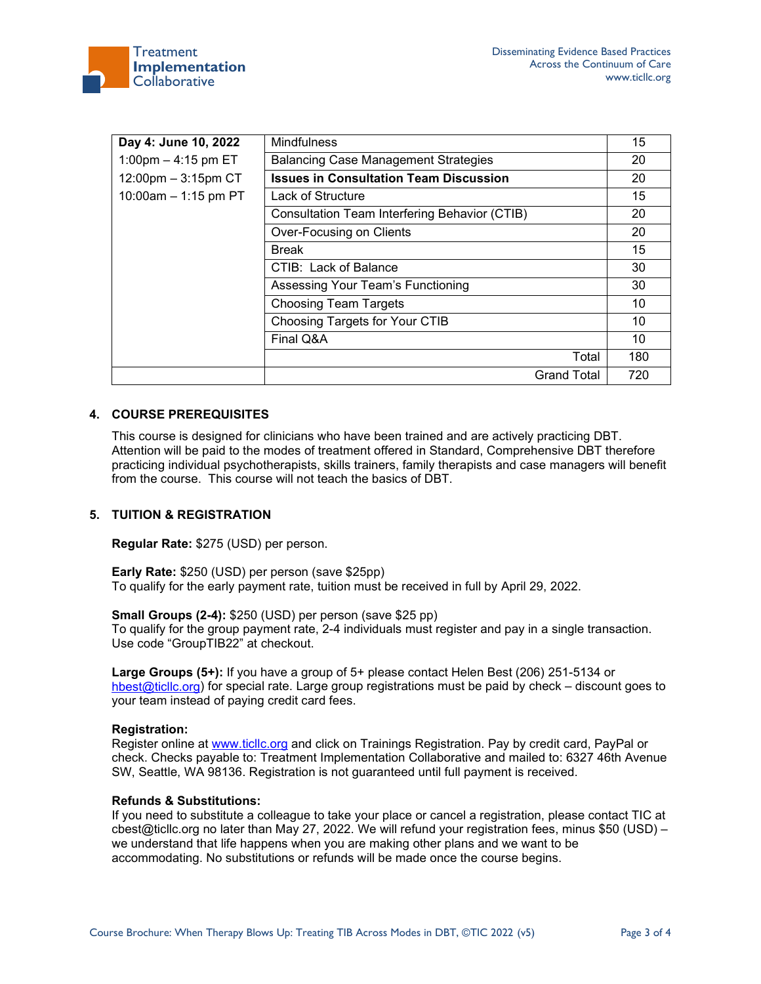

| Day 4: June 10, 2022     | <b>Mindfulness</b>                            | 15  |
|--------------------------|-----------------------------------------------|-----|
| 1:00pm $-$ 4:15 pm ET    | <b>Balancing Case Management Strategies</b>   | 20  |
| $12:00$ pm $-3:15$ pm CT | <b>Issues in Consultation Team Discussion</b> | 20  |
| 10:00am $-$ 1:15 pm PT   | Lack of Structure                             | 15  |
|                          | Consultation Team Interfering Behavior (CTIB) | 20  |
|                          | Over-Focusing on Clients                      | 20  |
|                          | <b>Break</b>                                  | 15  |
|                          | CTIB: Lack of Balance                         | 30  |
|                          | Assessing Your Team's Functioning             | 30  |
|                          | <b>Choosing Team Targets</b>                  | 10  |
|                          | Choosing Targets for Your CTIB                | 10  |
|                          | Final Q&A                                     | 10  |
|                          | Total                                         | 180 |
|                          | <b>Grand Total</b>                            | 720 |

## **4. COURSE PREREQUISITES**

This course is designed for clinicians who have been trained and are actively practicing DBT. Attention will be paid to the modes of treatment offered in Standard, Comprehensive DBT therefore practicing individual psychotherapists, skills trainers, family therapists and case managers will benefit from the course. This course will not teach the basics of DBT.

## **5. TUITION & REGISTRATION**

**Regular Rate:** \$275 (USD) per person.

**Early Rate:** \$250 (USD) per person (save \$25pp) To qualify for the early payment rate, tuition must be received in full by April 29, 2022.

**Small Groups (2-4):** \$250 (USD) per person (save \$25 pp)

To qualify for the group payment rate, 2-4 individuals must register and pay in a single transaction. Use code "GroupTIB22" at checkout.

**Large Groups (5+):** If you have a group of 5+ please contact Helen Best (206) 251-5134 or [hbest@ticllc.org\)](mailto:hbest@ticllc.org) for special rate. Large group registrations must be paid by check – discount goes to your team instead of paying credit card fees.

## **Registration:**

Register online at [www.ticllc.org](http://www.ticllc.org/) and click on Trainings Registration. Pay by credit card, PayPal or check. Checks payable to: Treatment Implementation Collaborative and mailed to: 6327 46th Avenue SW, Seattle, WA 98136. Registration is not guaranteed until full payment is received.

## **Refunds & Substitutions:**

If you need to substitute a colleague to take your place or cancel a registration, please contact TIC at cbest@ticllc.org no later than May 27, 2022. We will refund your registration fees, minus \$50 (USD) – we understand that life happens when you are making other plans and we want to be accommodating. No substitutions or refunds will be made once the course begins.